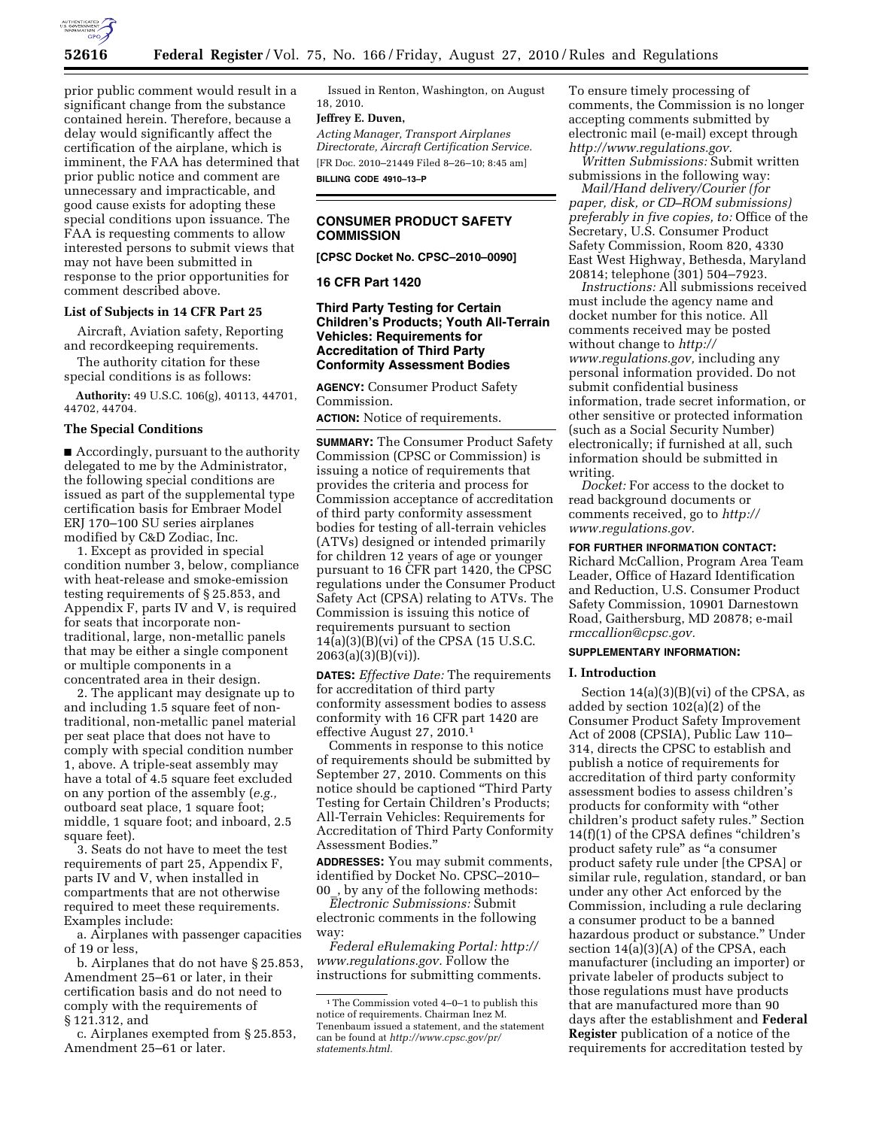

prior public comment would result in a significant change from the substance contained herein. Therefore, because a delay would significantly affect the certification of the airplane, which is imminent, the FAA has determined that prior public notice and comment are unnecessary and impracticable, and good cause exists for adopting these special conditions upon issuance. The FAA is requesting comments to allow interested persons to submit views that

may not have been submitted in response to the prior opportunities for comment described above.

# **List of Subjects in 14 CFR Part 25**

Aircraft, Aviation safety, Reporting and recordkeeping requirements.

The authority citation for these special conditions is as follows:

**Authority:** 49 U.S.C. 106(g), 40113, 44701, 44702, 44704.

## **The Special Conditions**

■ Accordingly, pursuant to the authority delegated to me by the Administrator, the following special conditions are issued as part of the supplemental type certification basis for Embraer Model ERJ 170–100 SU series airplanes modified by C&D Zodiac, Inc.

1. Except as provided in special condition number 3, below, compliance with heat-release and smoke-emission testing requirements of § 25.853, and Appendix F, parts IV and V, is required for seats that incorporate nontraditional, large, non-metallic panels that may be either a single component or multiple components in a concentrated area in their design.

2. The applicant may designate up to and including 1.5 square feet of nontraditional, non-metallic panel material per seat place that does not have to comply with special condition number 1, above. A triple-seat assembly may have a total of 4.5 square feet excluded on any portion of the assembly (*e.g.,*  outboard seat place, 1 square foot; middle, 1 square foot; and inboard, 2.5 square feet).

3. Seats do not have to meet the test requirements of part 25, Appendix F, parts IV and V, when installed in compartments that are not otherwise required to meet these requirements. Examples include:

a. Airplanes with passenger capacities of 19 or less,

b. Airplanes that do not have § 25.853, Amendment 25–61 or later, in their certification basis and do not need to comply with the requirements of § 121.312, and

c. Airplanes exempted from § 25.853, Amendment 25–61 or later.

Issued in Renton, Washington, on August 18, 2010.

## **Jeffrey E. Duven,**

*Acting Manager, Transport Airplanes Directorate, Aircraft Certification Service.*  [FR Doc. 2010–21449 Filed 8–26–10; 8:45 am] **BILLING CODE 4910–13–P** 

# **CONSUMER PRODUCT SAFETY COMMISSION**

**[CPSC Docket No. CPSC–2010–0090]** 

#### **16 CFR Part 1420**

**Third Party Testing for Certain Children's Products; Youth All-Terrain Vehicles: Requirements for Accreditation of Third Party Conformity Assessment Bodies** 

**AGENCY:** Consumer Product Safety Commission.

**ACTION:** Notice of requirements.

**SUMMARY:** The Consumer Product Safety Commission (CPSC or Commission) is issuing a notice of requirements that provides the criteria and process for Commission acceptance of accreditation of third party conformity assessment bodies for testing of all-terrain vehicles (ATVs) designed or intended primarily for children 12 years of age or younger pursuant to 16 CFR part 1420, the CPSC regulations under the Consumer Product Safety Act (CPSA) relating to ATVs. The Commission is issuing this notice of requirements pursuant to section 14(a)(3)(B)(vi) of the CPSA (15 U.S.C.  $2063(a)(3)(B)(vi)$ .

**DATES:** *Effective Date:* The requirements for accreditation of third party conformity assessment bodies to assess conformity with 16 CFR part 1420 are effective August 27, 2010.1

Comments in response to this notice of requirements should be submitted by September 27, 2010. Comments on this notice should be captioned ''Third Party Testing for Certain Children's Products; All-Terrain Vehicles: Requirements for Accreditation of Third Party Conformity Assessment Bodies.''

**ADDRESSES:** You may submit comments, identified by Docket No. CPSC–2010– 00\_, by any of the following methods:

*Electronic Submissions:* Submit electronic comments in the following way:

*Federal eRulemaking Portal: [http://](http://www.regulations.gov)  [www.regulations.gov.](http://www.regulations.gov)* Follow the instructions for submitting comments. To ensure timely processing of comments, the Commission is no longer accepting comments submitted by electronic mail (e-mail) except through *[http://www.regulations.gov.](http://www.regulations.gov)* 

*Written Submissions:* Submit written submissions in the following way:

*Mail/Hand delivery/Courier (for paper, disk, or CD–ROM submissions) preferably in five copies, to:* Office of the Secretary, U.S. Consumer Product Safety Commission, Room 820, 4330 East West Highway, Bethesda, Maryland 20814; telephone (301) 504–7923.

*Instructions:* All submissions received must include the agency name and docket number for this notice. All comments received may be posted without change to *[http://](http://www.regulations.gov) [www.regulations.gov,](http://www.regulations.gov)* including any personal information provided. Do not submit confidential business information, trade secret information, or other sensitive or protected information (such as a Social Security Number) electronically; if furnished at all, such information should be submitted in writing.

*Docket:* For access to the docket to read background documents or comments received, go to *[http://](http://www.regulations.gov)  [www.regulations.gov.](http://www.regulations.gov)* 

#### **FOR FURTHER INFORMATION CONTACT:**

Richard McCallion, Program Area Team Leader, Office of Hazard Identification and Reduction, U.S. Consumer Product Safety Commission, 10901 Darnestown Road, Gaithersburg, MD 20878; e-mail *[rmccallion@cpsc.gov.](mailto:rmccallion@cpsc.gov)* 

# **SUPPLEMENTARY INFORMATION:**

#### **I. Introduction**

Section  $14(a)(3)(B)(vi)$  of the CPSA, as added by section 102(a)(2) of the Consumer Product Safety Improvement Act of 2008 (CPSIA), Public Law 110– 314, directs the CPSC to establish and publish a notice of requirements for accreditation of third party conformity assessment bodies to assess children's products for conformity with ''other children's product safety rules.'' Section 14(f)(1) of the CPSA defines ''children's product safety rule'' as ''a consumer product safety rule under [the CPSA] or similar rule, regulation, standard, or ban under any other Act enforced by the Commission, including a rule declaring a consumer product to be a banned hazardous product or substance.'' Under section 14(a)(3)(A) of the CPSA, each manufacturer (including an importer) or private labeler of products subject to those regulations must have products that are manufactured more than 90 days after the establishment and **Federal Register** publication of a notice of the requirements for accreditation tested by

<sup>1</sup>The Commission voted 4–0–1 to publish this notice of requirements. Chairman Inez M. Tenenbaum issued a statement, and the statement can be found at *[http://www.cpsc.gov/pr/](http://www.cpsc.gov/pr/statements.html)  [statements.html.](http://www.cpsc.gov/pr/statements.html)*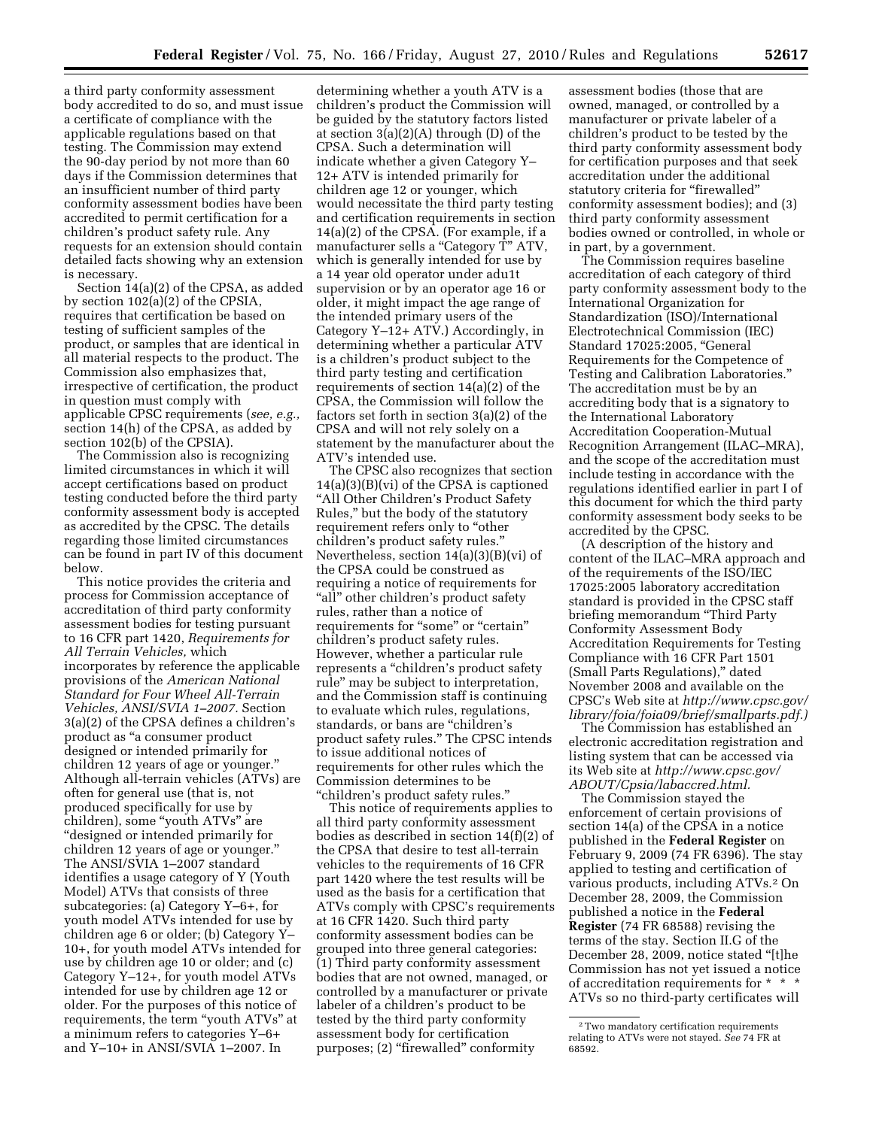a third party conformity assessment body accredited to do so, and must issue a certificate of compliance with the applicable regulations based on that testing. The Commission may extend the 90-day period by not more than 60 days if the Commission determines that an insufficient number of third party conformity assessment bodies have been accredited to permit certification for a children's product safety rule. Any requests for an extension should contain detailed facts showing why an extension is necessary.

Section 14(a)(2) of the CPSA, as added by section 102(a)(2) of the CPSIA, requires that certification be based on testing of sufficient samples of the product, or samples that are identical in all material respects to the product. The Commission also emphasizes that, irrespective of certification, the product in question must comply with applicable CPSC requirements (*see, e.g.,*  section 14(h) of the CPSA, as added by section 102(b) of the CPSIA).

The Commission also is recognizing limited circumstances in which it will accept certifications based on product testing conducted before the third party conformity assessment body is accepted as accredited by the CPSC. The details regarding those limited circumstances can be found in part IV of this document below.

This notice provides the criteria and process for Commission acceptance of accreditation of third party conformity assessment bodies for testing pursuant to 16 CFR part 1420, *Requirements for All Terrain Vehicles,* which incorporates by reference the applicable provisions of the *American National Standard for Four Wheel All-Terrain Vehicles, ANSI/SVIA 1–2007.* Section 3(a)(2) of the CPSA defines a children's product as ''a consumer product designed or intended primarily for children 12 years of age or younger.'' Although all-terrain vehicles (ATVs) are often for general use (that is, not produced specifically for use by children), some ''youth ATVs'' are ''designed or intended primarily for children 12 years of age or younger.'' The ANSI/SVIA 1–2007 standard identifies a usage category of Y (Youth Model) ATVs that consists of three subcategories: (a) Category Y–6+, for youth model ATVs intended for use by children age 6 or older; (b) Category Y– 10+, for youth model ATVs intended for use by children age 10 or older; and (c) Category Y–12+, for youth model ATVs intended for use by children age 12 or older. For the purposes of this notice of requirements, the term "youth ATVs" at a minimum refers to categories Y–6+ and Y–10+ in ANSI/SVIA 1–2007. In

determining whether a youth ATV is a children's product the Commission will be guided by the statutory factors listed at section 3(a)(2)(A) through (D) of the CPSA. Such a determination will indicate whether a given Category Y– 12+ ATV is intended primarily for children age 12 or younger, which would necessitate the third party testing and certification requirements in section 14(a)(2) of the CPSA. (For example, if a manufacturer sells a "Category T" ATV, which is generally intended for use by a 14 year old operator under adu1t supervision or by an operator age 16 or older, it might impact the age range of the intended primary users of the Category Y–12+ ATV.) Accordingly, in determining whether a particular ATV is a children's product subject to the third party testing and certification requirements of section 14(a)(2) of the CPSA, the Commission will follow the factors set forth in section 3(a)(2) of the CPSA and will not rely solely on a statement by the manufacturer about the ATV's intended use.

The CPSC also recognizes that section 14(a)(3)(B)(vi) of the CPSA is captioned "All Other Children's Product Safety Rules,'' but the body of the statutory requirement refers only to "other children's product safety rules.'' Nevertheless, section 14(a)(3)(B)(vi) of the CPSA could be construed as requiring a notice of requirements for "all" other children's product safety rules, rather than a notice of requirements for "some" or "certain" children's product safety rules. However, whether a particular rule represents a ''children's product safety rule'' may be subject to interpretation, and the Commission staff is continuing to evaluate which rules, regulations, standards, or bans are "children's product safety rules.'' The CPSC intends to issue additional notices of requirements for other rules which the Commission determines to be ''children's product safety rules.''

This notice of requirements applies to all third party conformity assessment bodies as described in section 14(f)(2) of the CPSA that desire to test all-terrain vehicles to the requirements of 16 CFR part 1420 where the test results will be used as the basis for a certification that ATVs comply with CPSC's requirements at 16 CFR 1420. Such third party conformity assessment bodies can be grouped into three general categories: (1) Third party conformity assessment bodies that are not owned, managed, or controlled by a manufacturer or private labeler of a children's product to be tested by the third party conformity assessment body for certification purposes; (2) "firewalled" conformity

assessment bodies (those that are owned, managed, or controlled by a manufacturer or private labeler of a children's product to be tested by the third party conformity assessment body for certification purposes and that seek accreditation under the additional statutory criteria for "firewalled" conformity assessment bodies); and (3) third party conformity assessment bodies owned or controlled, in whole or in part, by a government.

The Commission requires baseline accreditation of each category of third party conformity assessment body to the International Organization for Standardization (ISO)/International Electrotechnical Commission (IEC) Standard 17025:2005, ''General Requirements for the Competence of Testing and Calibration Laboratories.'' The accreditation must be by an accrediting body that is a signatory to the International Laboratory Accreditation Cooperation-Mutual Recognition Arrangement (ILAC–MRA), and the scope of the accreditation must include testing in accordance with the regulations identified earlier in part I of this document for which the third party conformity assessment body seeks to be accredited by the CPSC.

(A description of the history and content of the ILAC–MRA approach and of the requirements of the ISO/IEC 17025:2005 laboratory accreditation standard is provided in the CPSC staff briefing memorandum ''Third Party Conformity Assessment Body Accreditation Requirements for Testing Compliance with 16 CFR Part 1501 (Small Parts Regulations),'' dated November 2008 and available on the CPSC's Web site at *[http://www.cpsc.gov/](http://www.cpsc.gov/library/foia/foia09/brief/smallparts.pdf)  [library/foia/foia09/brief/smallparts.pdf.\)](http://www.cpsc.gov/library/foia/foia09/brief/smallparts.pdf)* 

The Commission has established an electronic accreditation registration and listing system that can be accessed via its Web site at *[http://www.cpsc.gov/](http://www.cpsc.gov/ABOUT/Cpsia/labaccred.html) [ABOUT/Cpsia/labaccred.html.](http://www.cpsc.gov/ABOUT/Cpsia/labaccred.html)* 

The Commission stayed the enforcement of certain provisions of section 14(a) of the CPSA in a notice published in the **Federal Register** on February 9, 2009 (74 FR 6396). The stay applied to testing and certification of various products, including ATVs.2 On December 28, 2009, the Commission published a notice in the **Federal Register** (74 FR 68588) revising the terms of the stay. Section II.G of the December 28, 2009, notice stated "[t]he Commission has not yet issued a notice of accreditation requirements for \* \* \* ATVs so no third-party certificates will

<sup>2</sup>Two mandatory certification requirements relating to ATVs were not stayed. *See* 74 FR at 68592.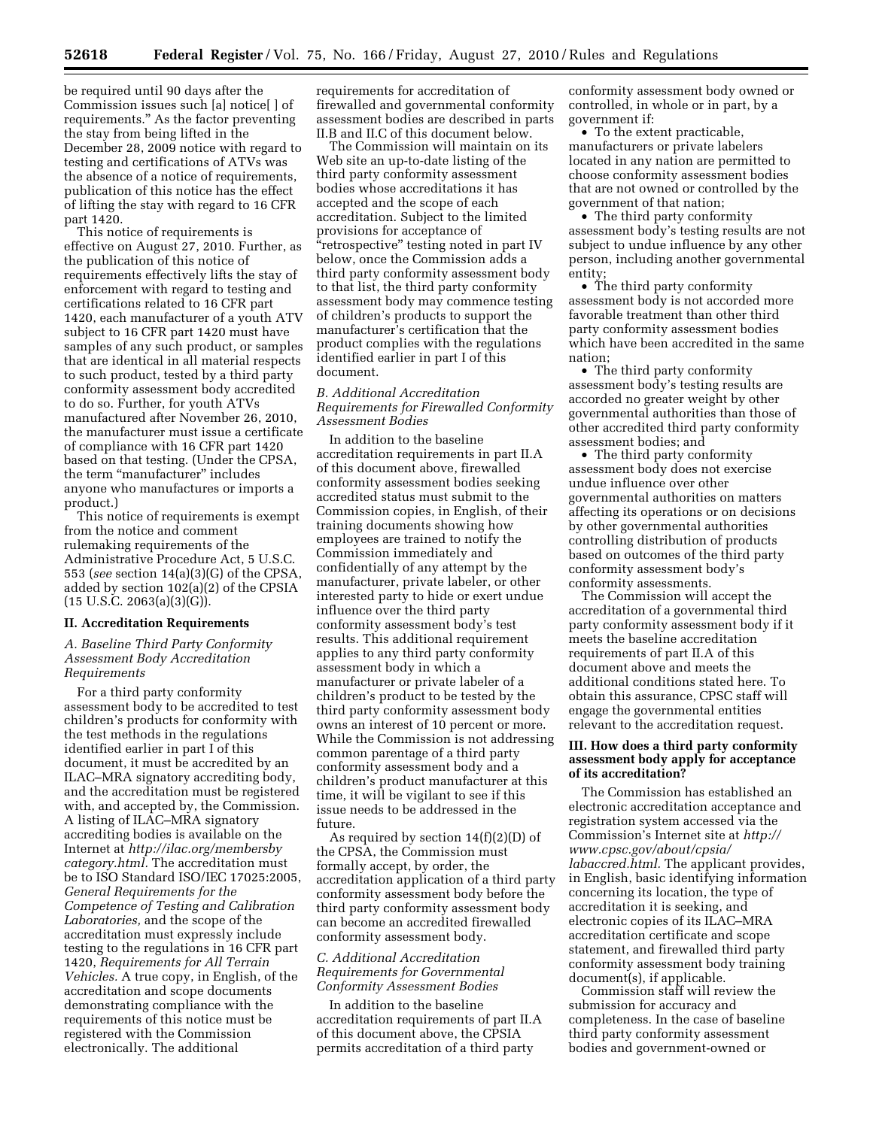be required until 90 days after the Commission issues such [a] notice[ ] of requirements.'' As the factor preventing the stay from being lifted in the December 28, 2009 notice with regard to testing and certifications of ATVs was the absence of a notice of requirements, publication of this notice has the effect of lifting the stay with regard to 16 CFR part 1420.

This notice of requirements is effective on August 27, 2010. Further, as the publication of this notice of requirements effectively lifts the stay of enforcement with regard to testing and certifications related to 16 CFR part 1420, each manufacturer of a youth ATV subject to 16 CFR part 1420 must have samples of any such product, or samples that are identical in all material respects to such product, tested by a third party conformity assessment body accredited to do so. Further, for youth ATVs manufactured after November 26, 2010, the manufacturer must issue a certificate of compliance with 16 CFR part 1420 based on that testing. (Under the CPSA, the term "manufacturer" includes anyone who manufactures or imports a product.)

This notice of requirements is exempt from the notice and comment rulemaking requirements of the Administrative Procedure Act, 5 U.S.C. 553 (*see* section 14(a)(3)(G) of the CPSA, added by section 102(a)(2) of the CPSIA  $(15 \text{ U.S.C. } 2063(a)(3)(G)).$ 

#### **II. Accreditation Requirements**

## *A. Baseline Third Party Conformity Assessment Body Accreditation Requirements*

For a third party conformity assessment body to be accredited to test children's products for conformity with the test methods in the regulations identified earlier in part I of this document, it must be accredited by an ILAC–MRA signatory accrediting body, and the accreditation must be registered with, and accepted by, the Commission. A listing of ILAC–MRA signatory accrediting bodies is available on the Internet at *[http://ilac.org/membersby](http://ilac.org/membersbycategory.html)  [category.html.](http://ilac.org/membersbycategory.html)* The accreditation must be to ISO Standard ISO/IEC 17025:2005, *General Requirements for the Competence of Testing and Calibration Laboratories,* and the scope of the accreditation must expressly include testing to the regulations in 16 CFR part 1420, *Requirements for All Terrain Vehicles.* A true copy, in English, of the accreditation and scope documents demonstrating compliance with the requirements of this notice must be registered with the Commission electronically. The additional

requirements for accreditation of firewalled and governmental conformity assessment bodies are described in parts II.B and II.C of this document below.

The Commission will maintain on its Web site an up-to-date listing of the third party conformity assessment bodies whose accreditations it has accepted and the scope of each accreditation. Subject to the limited provisions for acceptance of "retrospective" testing noted in part IV below, once the Commission adds a third party conformity assessment body to that list, the third party conformity assessment body may commence testing of children's products to support the manufacturer's certification that the product complies with the regulations identified earlier in part I of this document.

*B. Additional Accreditation Requirements for Firewalled Conformity Assessment Bodies* 

In addition to the baseline accreditation requirements in part II.A of this document above, firewalled conformity assessment bodies seeking accredited status must submit to the Commission copies, in English, of their training documents showing how employees are trained to notify the Commission immediately and confidentially of any attempt by the manufacturer, private labeler, or other interested party to hide or exert undue influence over the third party conformity assessment body's test results. This additional requirement applies to any third party conformity assessment body in which a manufacturer or private labeler of a children's product to be tested by the third party conformity assessment body owns an interest of 10 percent or more. While the Commission is not addressing common parentage of a third party conformity assessment body and a children's product manufacturer at this time, it will be vigilant to see if this issue needs to be addressed in the future.

As required by section  $14(f)(2)(D)$  of the CPSA, the Commission must formally accept, by order, the accreditation application of a third party conformity assessment body before the third party conformity assessment body can become an accredited firewalled conformity assessment body.

## *C. Additional Accreditation Requirements for Governmental Conformity Assessment Bodies*

In addition to the baseline accreditation requirements of part II.A of this document above, the CPSIA permits accreditation of a third party

conformity assessment body owned or controlled, in whole or in part, by a government if:

• To the extent practicable, manufacturers or private labelers located in any nation are permitted to choose conformity assessment bodies that are not owned or controlled by the government of that nation;

• The third party conformity assessment body's testing results are not subject to undue influence by any other person, including another governmental entity;

• The third party conformity assessment body is not accorded more favorable treatment than other third party conformity assessment bodies which have been accredited in the same nation;

• The third party conformity assessment body's testing results are accorded no greater weight by other governmental authorities than those of other accredited third party conformity assessment bodies; and

• The third party conformity assessment body does not exercise undue influence over other governmental authorities on matters affecting its operations or on decisions by other governmental authorities controlling distribution of products based on outcomes of the third party conformity assessment body's conformity assessments.

The Commission will accept the accreditation of a governmental third party conformity assessment body if it meets the baseline accreditation requirements of part II.A of this document above and meets the additional conditions stated here. To obtain this assurance, CPSC staff will engage the governmental entities relevant to the accreditation request.

## **III. How does a third party conformity assessment body apply for acceptance of its accreditation?**

The Commission has established an electronic accreditation acceptance and registration system accessed via the Commission's Internet site at *[http://](http://www.cpsc.gov/about/cpsia/labaccred.html)  [www.cpsc.gov/about/cpsia/](http://www.cpsc.gov/about/cpsia/labaccred.html) [labaccred.html.](http://www.cpsc.gov/about/cpsia/labaccred.html)* The applicant provides, in English, basic identifying information concerning its location, the type of accreditation it is seeking, and electronic copies of its ILAC–MRA accreditation certificate and scope statement, and firewalled third party conformity assessment body training document(s), if applicable.

Commission staff will review the submission for accuracy and completeness. In the case of baseline third party conformity assessment bodies and government-owned or